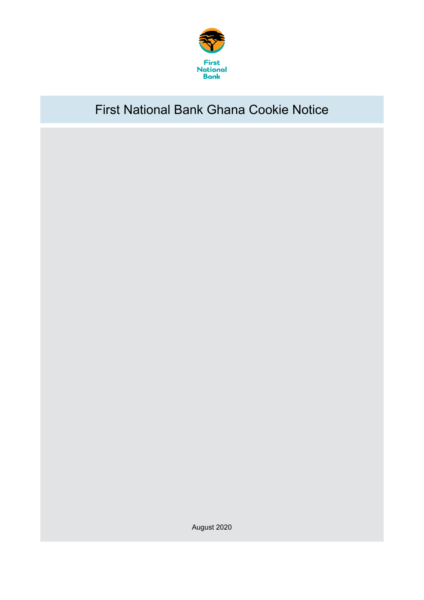

# First National Bank Ghana Cookie Notice

August 2020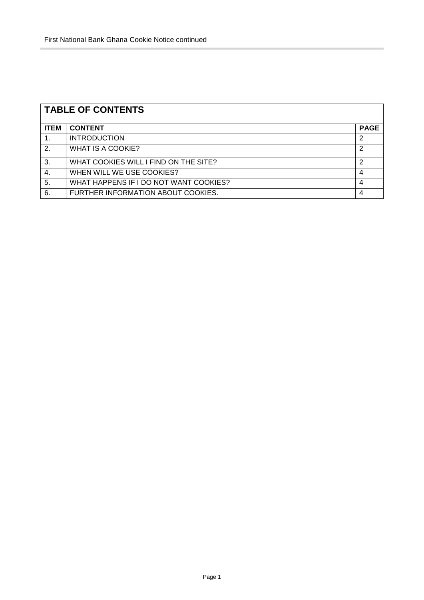| <b>TABLE OF CONTENTS</b> |                                        |             |  |  |
|--------------------------|----------------------------------------|-------------|--|--|
| <b>ITEM</b>              | <b>CONTENT</b>                         | <b>PAGE</b> |  |  |
|                          | <b>INTRODUCTION</b>                    | 2           |  |  |
| 2.                       | <b>WHAT IS A COOKIE?</b>               | 2           |  |  |
| 3.                       | WHAT COOKIES WILL I FIND ON THE SITE?  | 2           |  |  |
| 4.                       | WHEN WILL WE USE COOKIES?              | 4           |  |  |
| 5.                       | WHAT HAPPENS IF I DO NOT WANT COOKIES? | 4           |  |  |
| 6.                       | FURTHER INFORMATION ABOUT COOKIES.     | 4           |  |  |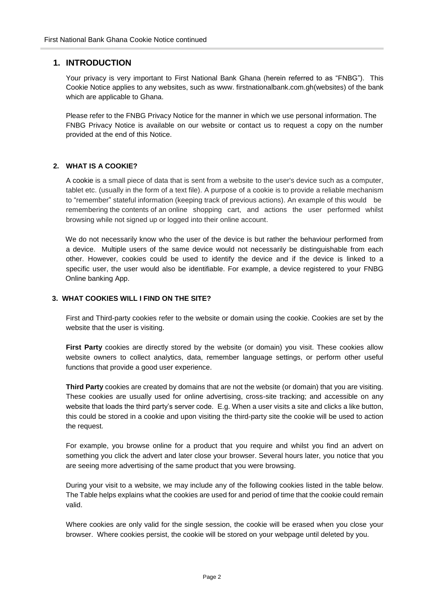# **1. INTRODUCTION**

Your privacy is very important to First National Bank Ghana (herein referred to as "FNBG"). This Cookie Notice applies to any websites, such as www. firstnationalbank.com.gh(websites) of the bank which are applicable to Ghana.

Please refer to the FNBG Privacy Notice for the manner in which we use personal information. The FNBG Privacy Notice is available on our website or contact us to request a copy on the number provided at the end of this Notice.

## **2. WHAT IS A COOKIE?**

A cookie is a small piece of data that is sent from a website to the user's device such as a computer, tablet etc. (usually in the form of a text file). A purpose of a cookie is to provide a reliable mechanism to "remember" stateful information (keeping track of previous actions). An example of this would be remembering the contents of an online shopping cart, and actions the user performed whilst browsing while not signed up or logged into their online account.

We do not necessarily know who the user of the device is but rather the behaviour performed from a device. Multiple users of the same device would not necessarily be distinguishable from each other. However, cookies could be used to identify the device and if the device is linked to a specific user, the user would also be identifiable. For example, a device registered to your FNBG Online banking App.

#### **3. WHAT COOKIES WILL I FIND ON THE SITE?**

First and Third-party cookies refer to the website or domain using the cookie. Cookies are set by the website that the user is visiting.

**First Party** cookies are directly stored by the website (or domain) you visit. These cookies allow website owners to collect analytics, data, remember language settings, or perform other useful functions that provide a good user experience.

**Third Party** cookies are created by domains that are not the website (or domain) that you are visiting. These cookies are usually used for online advertising, cross-site tracking; and accessible on any website that loads the third party's server code. E.g. When a user visits a site and clicks a like button, this could be stored in a cookie and upon visiting the third-party site the cookie will be used to action the request.

For example, you browse online for a product that you require and whilst you find an advert on something you click the advert and later close your browser. Several hours later, you notice that you are seeing more advertising of the same product that you were browsing.

During your visit to a website, we may include any of the following cookies listed in the table below. The Table helps explains what the cookies are used for and period of time that the cookie could remain valid.

Where cookies are only valid for the single session, the cookie will be erased when you close your browser. Where cookies persist, the cookie will be stored on your webpage until deleted by you.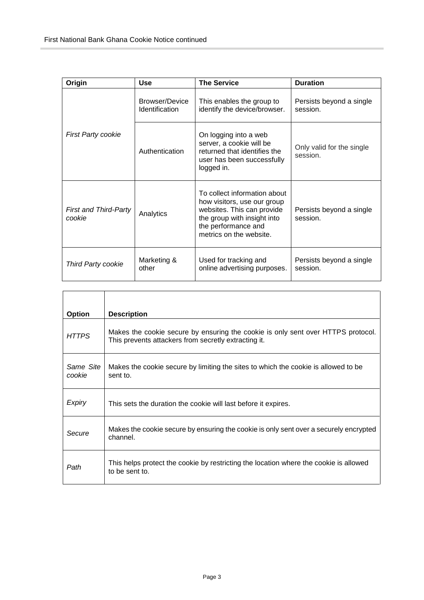| Origin                                 | Use                              | <b>The Service</b>                                                                                                                                                         | <b>Duration</b>                       |
|----------------------------------------|----------------------------------|----------------------------------------------------------------------------------------------------------------------------------------------------------------------------|---------------------------------------|
|                                        | Browser/Device<br>Identification | This enables the group to<br>identify the device/browser.                                                                                                                  | Persists beyond a single<br>session.  |
| <b>First Party cookie</b>              | Authentication                   | On logging into a web<br>server, a cookie will be<br>returned that identifies the<br>user has been successfully<br>logged in.                                              | Only valid for the single<br>session. |
| <b>First and Third-Party</b><br>cookie | Analytics                        | To collect information about<br>how visitors, use our group<br>websites. This can provide<br>the group with insight into<br>the performance and<br>metrics on the website. | Persists beyond a single<br>session.  |
| <b>Third Party cookie</b>              | Marketing &<br>other             | Used for tracking and<br>online advertising purposes.                                                                                                                      | Persists beyond a single<br>session.  |

| <b>Option</b>       | <b>Description</b>                                                                                                                       |
|---------------------|------------------------------------------------------------------------------------------------------------------------------------------|
| <b>HTTPS</b>        | Makes the cookie secure by ensuring the cookie is only sent over HTTPS protocol.<br>This prevents attackers from secretly extracting it. |
| Same Site<br>cookie | Makes the cookie secure by limiting the sites to which the cookie is allowed to be<br>sent to.                                           |
| Expiry              | This sets the duration the cookie will last before it expires.                                                                           |
| Secure              | Makes the cookie secure by ensuring the cookie is only sent over a securely encrypted<br>channel.                                        |
| Path                | This helps protect the cookie by restricting the location where the cookie is allowed<br>to be sent to.                                  |